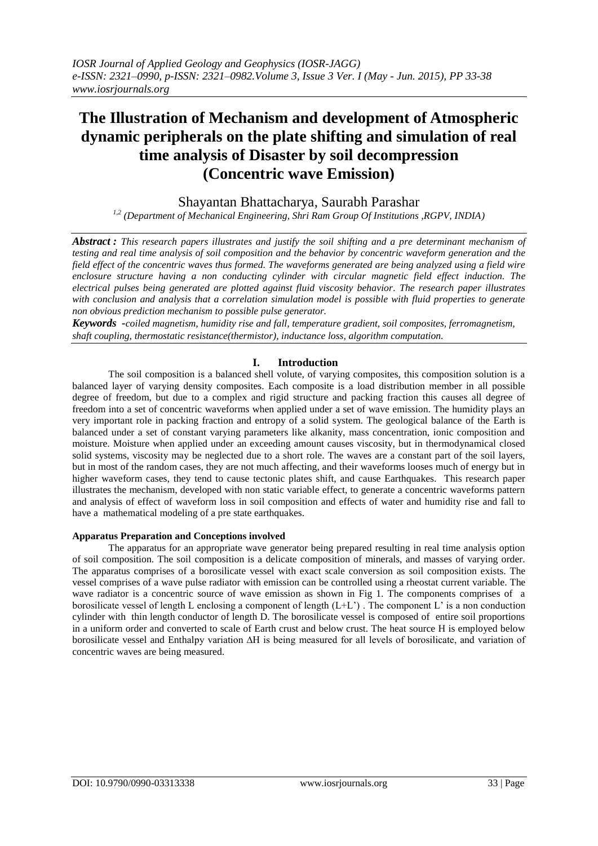# **The Illustration of Mechanism and development of Atmospheric dynamic peripherals on the plate shifting and simulation of real time analysis of Disaster by soil decompression (Concentric wave Emission)**

# Shayantan Bhattacharya, Saurabh Parashar

*1,2 (Department of Mechanical Engineering, Shri Ram Group Of Institutions ,RGPV, INDIA)*

*Abstract : This research papers illustrates and justify the soil shifting and a pre determinant mechanism of testing and real time analysis of soil composition and the behavior by concentric waveform generation and the field effect of the concentric waves thus formed. The waveforms generated are being analyzed using a field wire enclosure structure having a non conducting cylinder with circular magnetic field effect induction. The electrical pulses being generated are plotted against fluid viscosity behavior. The research paper illustrates*  with conclusion and analysis that a correlation simulation model is possible with fluid properties to generate *non obvious prediction mechanism to possible pulse generator.*

*Keywords -coiled magnetism, humidity rise and fall, temperature gradient, soil composites, ferromagnetism, shaft coupling, thermostatic resistance(thermistor), inductance loss, algorithm computation.*

# **I. Introduction**

The soil composition is a balanced shell volute, of varying composites, this composition solution is a balanced layer of varying density composites. Each composite is a load distribution member in all possible degree of freedom, but due to a complex and rigid structure and packing fraction this causes all degree of freedom into a set of concentric waveforms when applied under a set of wave emission. The humidity plays an very important role in packing fraction and entropy of a solid system. The geological balance of the Earth is balanced under a set of constant varying parameters like alkanity, mass concentration, ionic composition and moisture. Moisture when applied under an exceeding amount causes viscosity, but in thermodynamical closed solid systems, viscosity may be neglected due to a short role. The waves are a constant part of the soil layers, but in most of the random cases, they are not much affecting, and their waveforms looses much of energy but in higher waveform cases, they tend to cause tectonic plates shift, and cause Earthquakes. This research paper illustrates the mechanism, developed with non static variable effect, to generate a concentric waveforms pattern and analysis of effect of waveform loss in soil composition and effects of water and humidity rise and fall to have a mathematical modeling of a pre state earthquakes.

#### **Apparatus Preparation and Conceptions involved**

The apparatus for an appropriate wave generator being prepared resulting in real time analysis option of soil composition. The soil composition is a delicate composition of minerals, and masses of varying order. The apparatus comprises of a borosilicate vessel with exact scale conversion as soil composition exists. The vessel comprises of a wave pulse radiator with emission can be controlled using a rheostat current variable. The wave radiator is a concentric source of wave emission as shown in Fig 1. The components comprises of a borosilicate vessel of length L enclosing a component of length (L+L') . The component L' is a non conduction cylinder with thin length conductor of length D. The borosilicate vessel is composed of entire soil proportions in a uniform order and converted to scale of Earth crust and below crust. The heat source H is employed below borosilicate vessel and Enthalpy variation ∆H is being measured for all levels of borosilicate, and variation of concentric waves are being measured.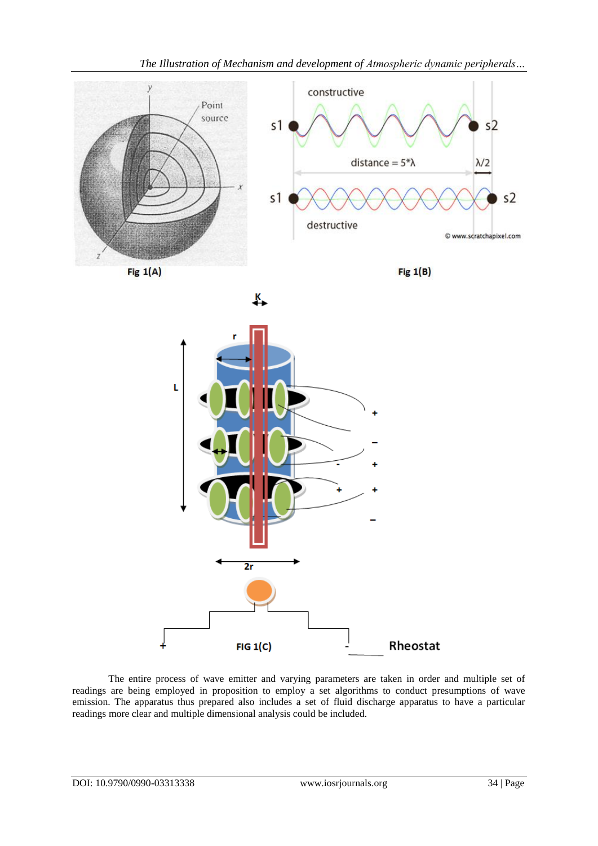

s1

长

Fig  $1(A)$ 





L  $2r$ Rheostat 4  $FIG 1(C)$ 

The entire process of wave emitter and varying parameters are taken in order and multiple set of readings are being employed in proposition to employ a set algorithms to conduct presumptions of wave emission. The apparatus thus prepared also includes a set of fluid discharge apparatus to have a particular readings more clear and multiple dimensional analysis could be included.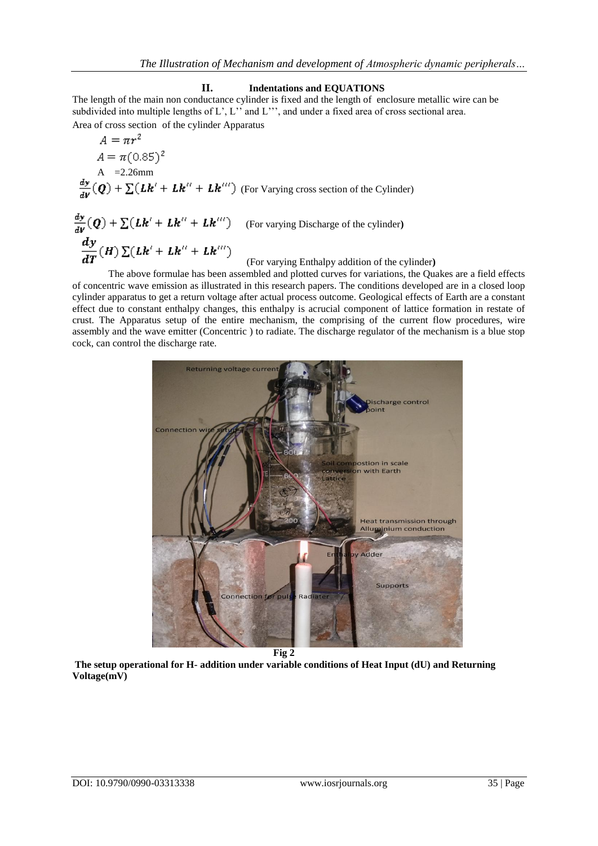# **II. Indentations and EQUATIONS**

The length of the main non conductance cylinder is fixed and the length of enclosure metallic wire can be subdivided into multiple lengths of L', L'' and L''', and under a fixed area of cross sectional area. Area of cross section of the cylinder Apparatus

$$
A = \pi r^{2}
$$
  
\n
$$
A = \pi (0.85)^{2}
$$
  
\nA = 2.26mm  
\n
$$
\frac{dy}{dV}(Q) + \sum (Lk' + Lk'' + Lk''') \text{ (For Varying cross section of the Cylinder)}
$$

$$
\frac{dy}{dV}(Q) + \sum (Lk' + Lk'' + Lk''')
$$
 (For varying Discharge of the cylinder)  
\n
$$
\frac{dy}{dT}(H) \sum (Lk' + Lk'' + Lk''')
$$
 (For varying Enthalpy addition of the cylinder)

The above formulae has been assembled and plotted curves for variations, the Quakes are a field effects of concentric wave emission as illustrated in this research papers. The conditions developed are in a closed loop cylinder apparatus to get a return voltage after actual process outcome. Geological effects of Earth are a constant effect due to constant enthalpy changes, this enthalpy is acrucial component of lattice formation in restate of crust. The Apparatus setup of the entire mechanism, the comprising of the current flow procedures, wire assembly and the wave emitter (Concentric ) to radiate. The discharge regulator of the mechanism is a blue stop cock, can control the discharge rate.



**The setup operational for H- addition under variable conditions of Heat Input (dU) and Returning Voltage(mV)**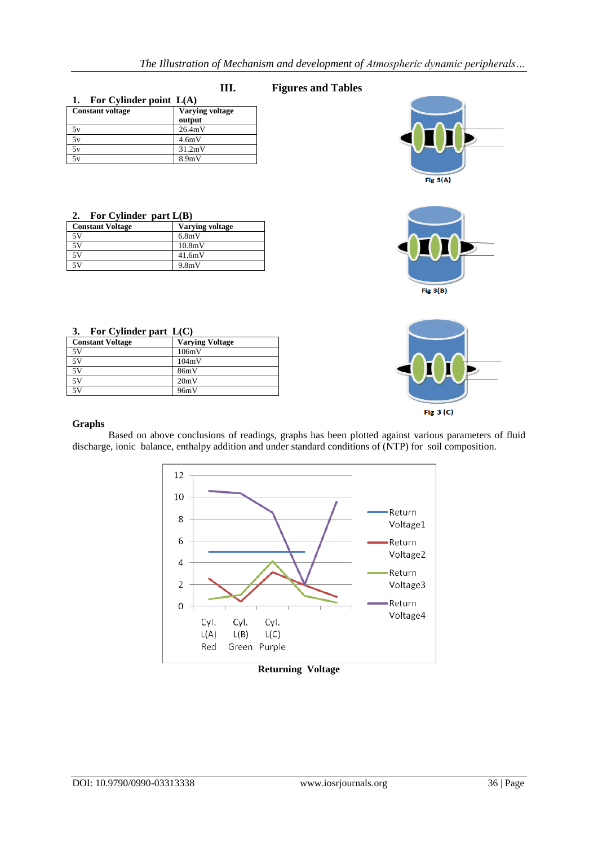# **III. Figures and Tables**

| For Cylinder point $L(A)$ |                        |  |
|---------------------------|------------------------|--|
| <b>Constant voltage</b>   | <b>Varying voltage</b> |  |
|                           | output                 |  |
| 5ν                        | 26.4mV                 |  |
| 5v                        | 4.6mV                  |  |
| 5v                        | 31.2mV                 |  |
| 5v                        | 8.9 <sub>m</sub> V     |  |

#### **2. For Cylinder part L(B)**

| <b>Constant Voltage</b> | <b>Varying voltage</b> |
|-------------------------|------------------------|
| 5V                      | 6.8mV                  |
| 5V                      | 10.8mV                 |
| 5V                      | 41.6mV                 |
| 5V                      | 9.8mV                  |

| 3. | For Cylinder part $L(C)$ |  |
|----|--------------------------|--|
|    |                          |  |

| <b>Constant Voltage</b> | <b>Varying Voltage</b> |
|-------------------------|------------------------|
| 5V                      | 106mV                  |
| 5V                      | 104mV                  |
| 5V                      | 86mV                   |
| 5V                      | 20mV                   |
| 5V                      | 96mV                   |

# **Graphs**

Based on above conclusions of readings, graphs has been plotted against various parameters of fluid discharge, ionic balance, enthalpy addition and under standard conditions of (NTP) for soil composition.



# **Returning Voltage**





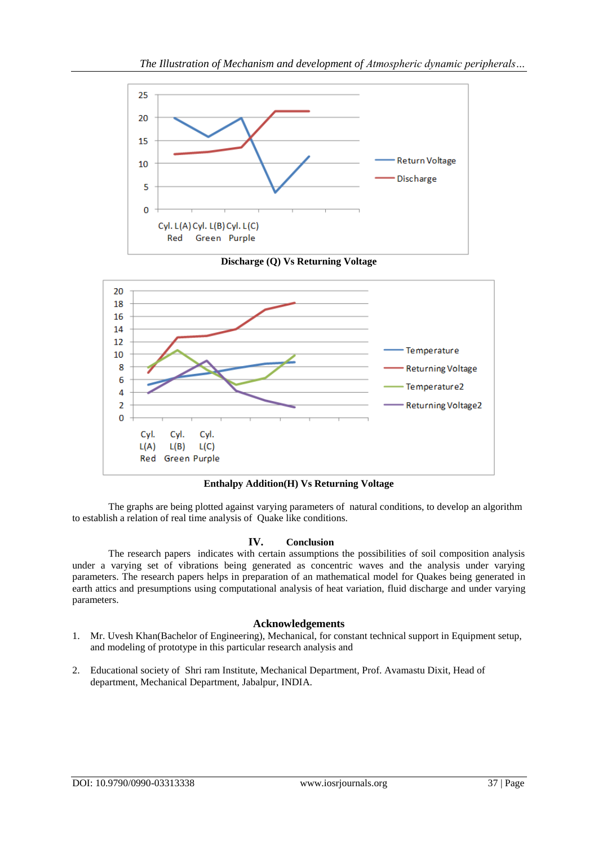





**Enthalpy Addition(H) Vs Returning Voltage**

The graphs are being plotted against varying parameters of natural conditions, to develop an algorithm to establish a relation of real time analysis of Quake like conditions.

# **IV. Conclusion**

The research papers indicates with certain assumptions the possibilities of soil composition analysis under a varying set of vibrations being generated as concentric waves and the analysis under varying parameters. The research papers helps in preparation of an mathematical model for Quakes being generated in earth attics and presumptions using computational analysis of heat variation, fluid discharge and under varying parameters.

# **Acknowledgements**

- 1. Mr. Uvesh Khan(Bachelor of Engineering), Mechanical, for constant technical support in Equipment setup, and modeling of prototype in this particular research analysis and
- 2. Educational society of Shri ram Institute, Mechanical Department, Prof. Avamastu Dixit, Head of department, Mechanical Department, Jabalpur, INDIA.